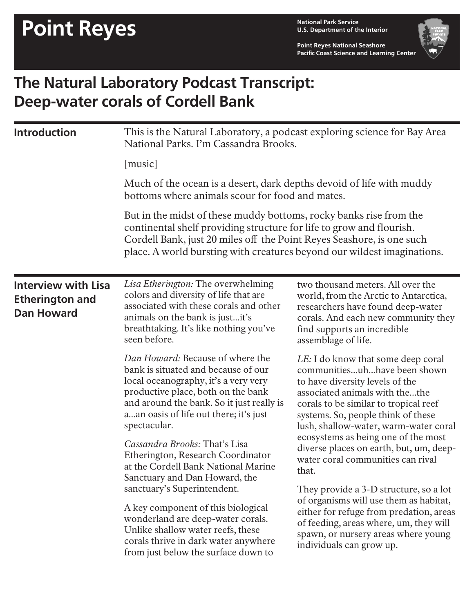**U.S. Department of the Interior**

**Point Reyes National Seashore Pacific Coast Science and Learning Center**



## **The Natural Laboratory Podcast Transcript: Deep-water corals of Cordell Bank**

| <b>Introduction</b>                                                       | This is the Natural Laboratory, a podcast exploring science for Bay Area<br>National Parks. I'm Cassandra Brooks.<br>[music]                                                                                                                                                                                                                                                                                              |                                                                                                                                                                                                                                                                                                                                                                                        |  |
|---------------------------------------------------------------------------|---------------------------------------------------------------------------------------------------------------------------------------------------------------------------------------------------------------------------------------------------------------------------------------------------------------------------------------------------------------------------------------------------------------------------|----------------------------------------------------------------------------------------------------------------------------------------------------------------------------------------------------------------------------------------------------------------------------------------------------------------------------------------------------------------------------------------|--|
|                                                                           |                                                                                                                                                                                                                                                                                                                                                                                                                           |                                                                                                                                                                                                                                                                                                                                                                                        |  |
|                                                                           | Much of the ocean is a desert, dark depths devoid of life with muddy<br>bottoms where animals scour for food and mates.<br>But in the midst of these muddy bottoms, rocky banks rise from the<br>continental shelf providing structure for life to grow and flourish.<br>Cordell Bank, just 20 miles off the Point Reyes Seashore, is one such<br>place. A world bursting with creatures beyond our wildest imaginations. |                                                                                                                                                                                                                                                                                                                                                                                        |  |
|                                                                           |                                                                                                                                                                                                                                                                                                                                                                                                                           |                                                                                                                                                                                                                                                                                                                                                                                        |  |
| <b>Interview with Lisa</b><br><b>Etherington and</b><br><b>Dan Howard</b> | Lisa Etherington: The overwhelming<br>colors and diversity of life that are<br>associated with these corals and other<br>animals on the bank is justit's<br>breathtaking. It's like nothing you've<br>seen before.                                                                                                                                                                                                        | two thousand meters. All over the<br>world, from the Arctic to Antarctica,<br>researchers have found deep-water<br>corals. And each new community they<br>find supports an incredible<br>assemblage of life.                                                                                                                                                                           |  |
|                                                                           | Dan Howard: Because of where the<br>bank is situated and because of our<br>local oceanography, it's a very very<br>productive place, both on the bank<br>and around the bank. So it just really is<br>aan oasis of life out there; it's just<br>spectacular.<br>Cassandra Brooks: That's Lisa<br>Etherington, Research Coordinator<br>at the Cordell Bank National Marine                                                 | LE: I do know that some deep coral<br>communitiesuhhave been shown<br>to have diversity levels of the<br>associated animals with thethe<br>corals to be similar to tropical reef<br>systems. So, people think of these<br>lush, shallow-water, warm-water coral<br>ecosystems as being one of the most<br>diverse places on earth, but, um, deep-<br>water coral communities can rival |  |
|                                                                           | Sanctuary and Dan Howard, the<br>sanctuary's Superintendent.<br>A key component of this biological<br>wonderland are deep-water corals.<br>Unlike shallow water reefs, these<br>corals thrive in dark water anywhere<br>from just below the surface down to                                                                                                                                                               | that.<br>They provide a 3-D structure, so a lot<br>of organisms will use them as habitat,<br>either for refuge from predation, areas<br>of feeding, areas where, um, they will<br>spawn, or nursery areas where young<br>individuals can grow up.                                                                                                                                      |  |